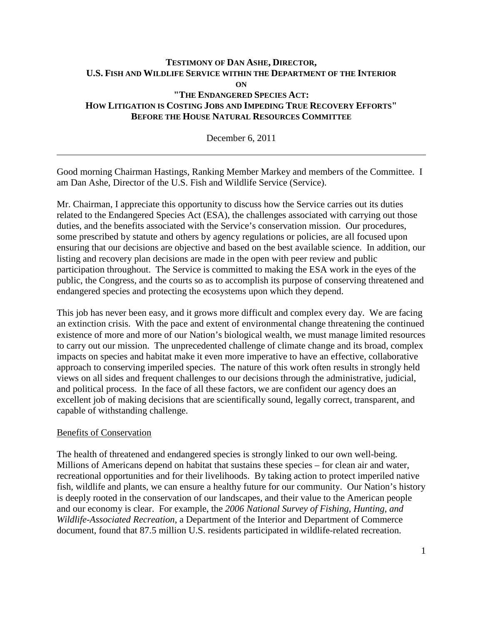# **TESTIMONY OF DAN ASHE, DIRECTOR, U.S. FISH AND WILDLIFE SERVICE WITHIN THE DEPARTMENT OF THE INTERIOR ON "THE ENDANGERED SPECIES ACT: HOW LITIGATION IS COSTING JOBS AND IMPEDING TRUE RECOVERY EFFORTS" BEFORE THE HOUSE NATURAL RESOURCES COMMITTEE**

December 6, 2011

Good morning Chairman Hastings, Ranking Member Markey and members of the Committee. I am Dan Ashe, Director of the U.S. Fish and Wildlife Service (Service).

Mr. Chairman, I appreciate this opportunity to discuss how the Service carries out its duties related to the Endangered Species Act (ESA), the challenges associated with carrying out those duties, and the benefits associated with the Service's conservation mission. Our procedures, some prescribed by statute and others by agency regulations or policies, are all focused upon ensuring that our decisions are objective and based on the best available science. In addition, our listing and recovery plan decisions are made in the open with peer review and public participation throughout. The Service is committed to making the ESA work in the eyes of the public, the Congress, and the courts so as to accomplish its purpose of conserving threatened and endangered species and protecting the ecosystems upon which they depend.

This job has never been easy, and it grows more difficult and complex every day. We are facing an extinction crisis. With the pace and extent of environmental change threatening the continued existence of more and more of our Nation's biological wealth, we must manage limited resources to carry out our mission. The unprecedented challenge of climate change and its broad, complex impacts on species and habitat make it even more imperative to have an effective, collaborative approach to conserving imperiled species. The nature of this work often results in strongly held views on all sides and frequent challenges to our decisions through the administrative, judicial, and political process. In the face of all these factors, we are confident our agency does an excellent job of making decisions that are scientifically sound, legally correct, transparent, and capable of withstanding challenge.

#### Benefits of Conservation

The health of threatened and endangered species is strongly linked to our own well-being. Millions of Americans depend on habitat that sustains these species – for clean air and water, recreational opportunities and for their livelihoods. By taking action to protect imperiled native fish, wildlife and plants, we can ensure a healthy future for our community. Our Nation's history is deeply rooted in the conservation of our landscapes, and their value to the American people and our economy is clear. For example, the *2006 National Survey of Fishing, Hunting, and Wildlife-Associated Recreation*, a Department of the Interior and Department of Commerce document, found that 87.5 million U.S. residents participated in wildlife-related recreation.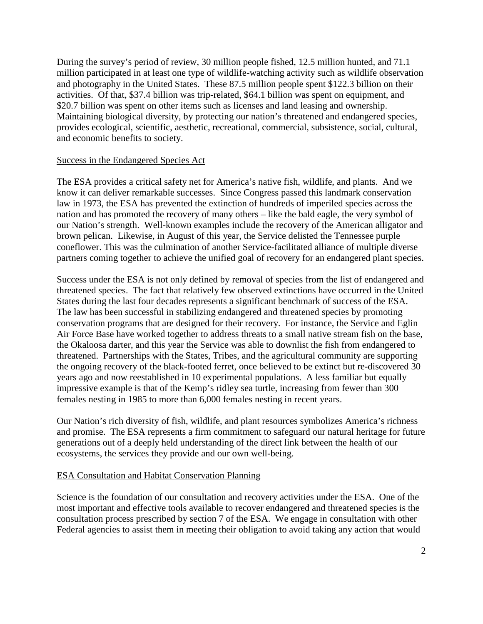During the survey's period of review, 30 million people fished, 12.5 million hunted, and 71.1 million participated in at least one type of wildlife-watching activity such as wildlife observation and photography in the United States. These 87.5 million people spent \$122.3 billion on their activities. Of that, \$37.4 billion was trip-related, \$64.1 billion was spent on equipment, and \$20.7 billion was spent on other items such as licenses and land leasing and ownership. Maintaining biological diversity, by protecting our nation's threatened and endangered species, provides ecological, scientific, aesthetic, recreational, commercial, subsistence, social, cultural, and economic benefits to society.

## Success in the Endangered Species Act

The ESA provides a critical safety net for America's native fish, wildlife, and plants. And we know it can deliver remarkable successes. Since Congress passed this landmark conservation law in 1973, the ESA has prevented the extinction of hundreds of imperiled species across the nation and has promoted the recovery of many others – like the bald eagle, the very symbol of our Nation's strength. Well-known examples include the recovery of the American alligator and brown pelican. Likewise, in August of this year, the Service delisted the Tennessee purple coneflower. This was the culmination of another Service-facilitated alliance of multiple diverse partners coming together to achieve the unified goal of recovery for an endangered plant species.

Success under the ESA is not only defined by removal of species from the list of endangered and threatened species. The fact that relatively few observed extinctions have occurred in the United States during the last four decades represents a significant benchmark of success of the ESA. The law has been successful in stabilizing endangered and threatened species by promoting conservation programs that are designed for their recovery. For instance, the Service and Eglin Air Force Base have worked together to address threats to a small native stream fish on the base, the Okaloosa darter, and this year the Service was able to downlist the fish from endangered to threatened. Partnerships with the States, Tribes, and the agricultural community are supporting the ongoing recovery of the black-footed ferret, once believed to be extinct but re-discovered 30 years ago and now reestablished in 10 experimental populations. A less familiar but equally impressive example is that of the Kemp's ridley sea turtle, increasing from fewer than 300 females nesting in 1985 to more than 6,000 females nesting in recent years.

Our Nation's rich diversity of fish, wildlife, and plant resources symbolizes America's richness and promise. The ESA represents a firm commitment to safeguard our natural heritage for future generations out of a deeply held understanding of the direct link between the health of our ecosystems, the services they provide and our own well-being.

## ESA Consultation and Habitat Conservation Planning

Science is the foundation of our consultation and recovery activities under the ESA. One of the most important and effective tools available to recover endangered and threatened species is the consultation process prescribed by section 7 of the ESA. We engage in consultation with other Federal agencies to assist them in meeting their obligation to avoid taking any action that would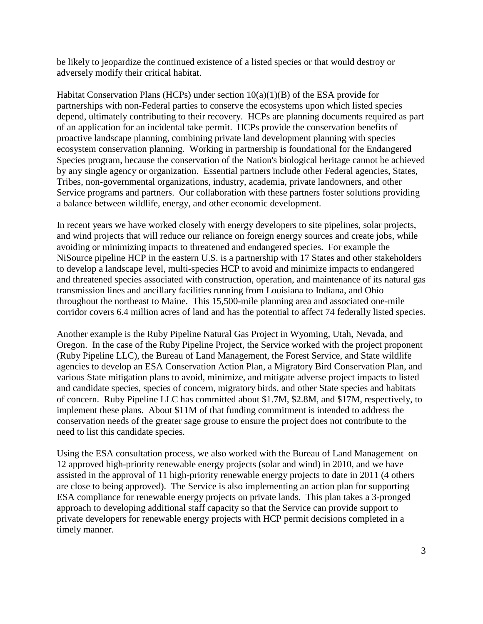be likely to jeopardize the continued existence of a listed species or that would destroy or adversely modify their critical habitat.

Habitat Conservation Plans (HCPs) under section  $10(a)(1)(B)$  of the ESA provide for partnerships with non-Federal parties to conserve the ecosystems upon which listed species depend, ultimately contributing to their recovery. HCPs are planning documents required as part of an application for an incidental take permit. HCPs provide the conservation benefits of proactive landscape planning, combining private land development planning with species ecosystem conservation planning. Working in partnership is foundational for the Endangered Species program, because the conservation of the Nation's biological heritage cannot be achieved by any single agency or organization. Essential partners include other Federal agencies, States, Tribes, non-governmental organizations, industry, academia, private landowners, and other Service programs and partners. Our collaboration with these partners foster solutions providing a balance between wildlife, energy, and other economic development.

In recent years we have worked closely with energy developers to site pipelines, solar projects, and wind projects that will reduce our reliance on foreign energy sources and create jobs, while avoiding or minimizing impacts to threatened and endangered species. For example the NiSource pipeline HCP in the eastern U.S. is a partnership with 17 States and other stakeholders to develop a landscape level, multi-species HCP to avoid and minimize impacts to endangered and threatened species associated with construction, operation, and maintenance of its natural gas transmission lines and ancillary facilities running from Louisiana to Indiana, and Ohio throughout the northeast to Maine. This 15,500-mile planning area and associated one-mile corridor covers 6.4 million acres of land and has the potential to affect 74 federally listed species.

Another example is the Ruby Pipeline Natural Gas Project in Wyoming, Utah, Nevada, and Oregon. In the case of the Ruby Pipeline Project, the Service worked with the project proponent (Ruby Pipeline LLC), the Bureau of Land Management, the Forest Service, and State wildlife agencies to develop an ESA Conservation Action Plan, a Migratory Bird Conservation Plan, and various State mitigation plans to avoid, minimize, and mitigate adverse project impacts to listed and candidate species, species of concern, migratory birds, and other State species and habitats of concern. Ruby Pipeline LLC has committed about \$1.7M, \$2.8M, and \$17M, respectively, to implement these plans. About \$11M of that funding commitment is intended to address the conservation needs of the greater sage grouse to ensure the project does not contribute to the need to list this candidate species.

Using the ESA consultation process, we also worked with the Bureau of Land Management on 12 approved high-priority renewable energy projects (solar and wind) in 2010, and we have assisted in the approval of 11 high-priority renewable energy projects to date in 2011 (4 others are close to being approved). The Service is also implementing an action plan for supporting ESA compliance for renewable energy projects on private lands. This plan takes a 3-pronged approach to developing additional staff capacity so that the Service can provide support to private developers for renewable energy projects with HCP permit decisions completed in a timely manner.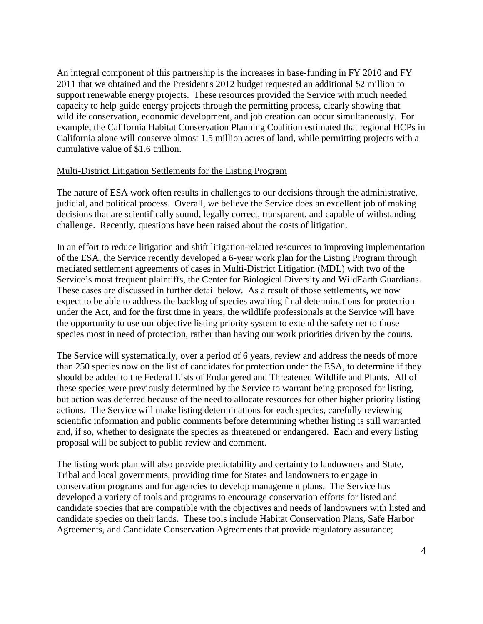An integral component of this partnership is the increases in base-funding in FY 2010 and FY 2011 that we obtained and the President's 2012 budget requested an additional \$2 million to support renewable energy projects. These resources provided the Service with much needed capacity to help guide energy projects through the permitting process, clearly showing that wildlife conservation, economic development, and job creation can occur simultaneously. For example, the California Habitat Conservation Planning Coalition estimated that regional HCPs in California alone will conserve almost 1.5 million acres of land, while permitting projects with a cumulative value of \$1.6 trillion.

#### Multi-District Litigation Settlements for the Listing Program

The nature of ESA work often results in challenges to our decisions through the administrative, judicial, and political process. Overall, we believe the Service does an excellent job of making decisions that are scientifically sound, legally correct, transparent, and capable of withstanding challenge. Recently, questions have been raised about the costs of litigation.

In an effort to reduce litigation and shift litigation-related resources to improving implementation of the ESA, the Service recently developed a 6-year work plan for the Listing Program through mediated settlement agreements of cases in Multi-District Litigation (MDL) with two of the Service's most frequent plaintiffs, the Center for Biological Diversity and WildEarth Guardians. These cases are discussed in further detail below. As a result of those settlements, we now expect to be able to address the backlog of species awaiting final determinations for protection under the Act, and for the first time in years, the wildlife professionals at the Service will have the opportunity to use our objective listing priority system to extend the safety net to those species most in need of protection, rather than having our work priorities driven by the courts.

The Service will systematically, over a period of 6 years, review and address the needs of more than 250 species now on the list of candidates for protection under the ESA, to determine if they should be added to the Federal Lists of Endangered and Threatened Wildlife and Plants. All of these species were previously determined by the Service to warrant being proposed for listing, but action was deferred because of the need to allocate resources for other higher priority listing actions. The Service will make listing determinations for each species, carefully reviewing scientific information and public comments before determining whether listing is still warranted and, if so, whether to designate the species as threatened or endangered. Each and every listing proposal will be subject to public review and comment.

The listing work plan will also provide predictability and certainty to landowners and State, Tribal and local governments, providing time for States and landowners to engage in conservation programs and for agencies to develop management plans. The Service has developed a variety of tools and programs to encourage conservation efforts for listed and candidate species that are compatible with the objectives and needs of landowners with listed and candidate species on their lands. These tools include Habitat Conservation Plans, Safe Harbor Agreements, and Candidate Conservation Agreements that provide regulatory assurance;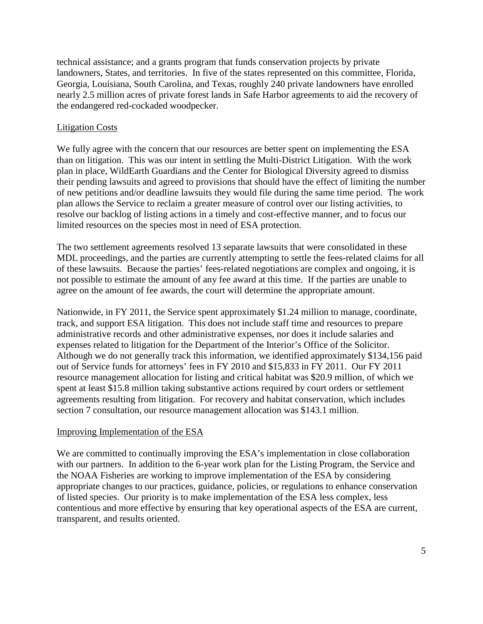technical assistance; and a grants program that funds conservation projects by private landowners, States, and territories. In five of the states represented on this committee, Florida, Georgia, Louisiana, South Carolina, and Texas, roughly 240 private landowners have enrolled nearly 2.5 million acres of private forest lands in Safe Harbor agreements to aid the recovery of the endangered red-cockaded woodpecker.

# Litigation Costs

We fully agree with the concern that our resources are better spent on implementing the ESA than on litigation. This was our intent in settling the Multi-District Litigation. With the work plan in place, WildEarth Guardians and the Center for Biological Diversity agreed to dismiss their pending lawsuits and agreed to provisions that should have the effect of limiting the number of new petitions and/or deadline lawsuits they would file during the same time period. The work plan allows the Service to reclaim a greater measure of control over our listing activities, to resolve our backlog of listing actions in a timely and cost-effective manner, and to focus our limited resources on the species most in need of ESA protection.

The two settlement agreements resolved 13 separate lawsuits that were consolidated in these MDL proceedings, and the parties are currently attempting to settle the fees-related claims for all of these lawsuits. Because the parties' fees-related negotiations are complex and ongoing, it is not possible to estimate the amount of any fee award at this time. If the parties are unable to agree on the amount of fee awards, the court will determine the appropriate amount.

Nationwide, in FY 2011, the Service spent approximately \$1.24 million to manage, coordinate, track, and support ESA litigation. This does not include staff time and resources to prepare administrative records and other administrative expenses, nor does it include salaries and expenses related to litigation for the Department of the Interior's Office of the Solicitor. Although we do not generally track this information, we identified approximately \$134,156 paid out of Service funds for attorneys' fees in FY 2010 and \$15,833 in FY 2011. Our FY 2011 resource management allocation for listing and critical habitat was \$20.9 million, of which we spent at least \$15.8 million taking substantive actions required by court orders or settlement agreements resulting from litigation. For recovery and habitat conservation, which includes section 7 consultation, our resource management allocation was \$143.1 million.

## Improving Implementation of the ESA

We are committed to continually improving the ESA's implementation in close collaboration with our partners. In addition to the 6-year work plan for the Listing Program, the Service and the NOAA Fisheries are working to improve implementation of the ESA by considering appropriate changes to our practices, guidance, policies, or regulations to enhance conservation of listed species. Our priority is to make implementation of the ESA less complex, less contentious and more effective by ensuring that key operational aspects of the ESA are current, transparent, and results oriented.